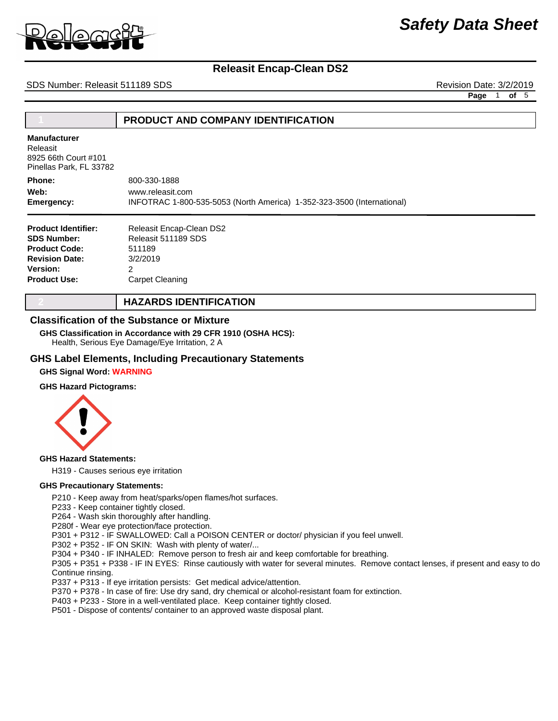

# **Releasit Encap-Clean DS2**

SDS Number: Releasit 511189 SDS **Revision Date: 3/2/2019** Revision Date: 3/2/2019

**Page** 1 **of** 5

## **1 PRODUCT AND COMPANY IDENTIFICATION**

**Manufacturer**

Releasit 8925 66th Court #101 Pinellas Park, FL 33782

800-330-1888 INFOTRAC 1-800-535-5053 (North America) 1-352-323-3500 (International) www.releasit.com **Phone: Emergency: Web:**

| <b>Product Identifier:</b> | Releasit Encap-Clean DS2 |
|----------------------------|--------------------------|
| <b>SDS Number:</b>         | Releasit 511189 SDS      |
| <b>Product Code:</b>       | 511189                   |
| <b>Revision Date:</b>      | 3/2/2019                 |
| <b>Version:</b>            | 2                        |
| <b>Product Use:</b>        | Carpet Cleaning          |

## **2 HAZARDS IDENTIFICATION**

#### **Classification of the Substance or Mixture**

Health, Serious Eye Damage/Eye Irritation, 2 A **GHS Classification in Accordance with 29 CFR 1910 (OSHA HCS):**

### **GHS Label Elements, Including Precautionary Statements**

#### **GHS Signal Word: WARNING**

#### **GHS Hazard Pictograms:**



#### **GHS Hazard Statements:**

H319 - Causes serious eye irritation

#### **GHS Precautionary Statements:**

P210 - Keep away from heat/sparks/open flames/hot surfaces.

P233 - Keep container tightly closed.

P264 - Wash skin thoroughly after handling.

P280f - Wear eye protection/face protection.

P301 + P312 - IF SWALLOWED: Call a POISON CENTER or doctor/ physician if you feel unwell.

P302 + P352 - IF ON SKIN: Wash with plenty of water/...

P304 + P340 - IF INHALED: Remove person to fresh air and keep comfortable for breathing.

P305 + P351 + P338 - IF IN EYES: Rinse cautiously with water for several minutes. Remove contact lenses, if present and easy to do. Continue rinsing.

P337 + P313 - If eye irritation persists: Get medical advice/attention.

P370 + P378 - In case of fire: Use dry sand, dry chemical or alcohol-resistant foam for extinction.

P403 + P233 - Store in a well-ventilated place. Keep container tightly closed.

P501 - Dispose of contents/ container to an approved waste disposal plant.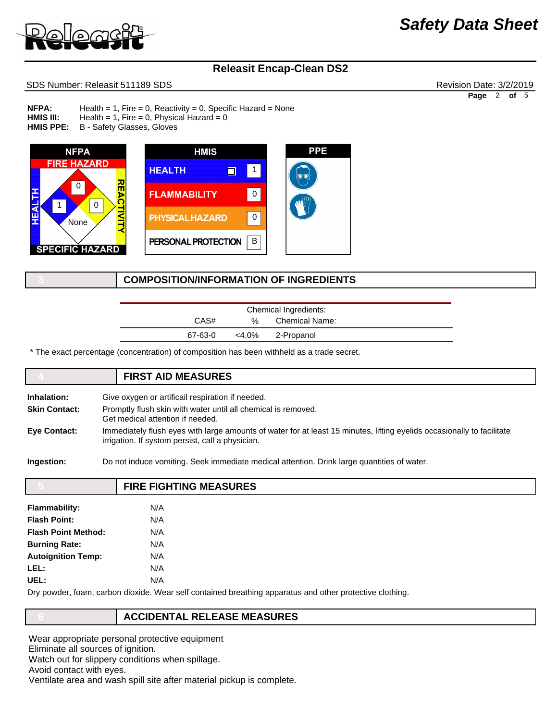

# **Releasit Encap-Clean DS2**

### SDS Number: Releasit 511189 SDS **Revision Date: 3/2/2019** Revision Date: 3/2/2019

Health = 1, Fire = 0, Reactivity = 0, Specific Hazard = None Health = 1, Fire = 0, Physical Hazard =  $0$ B - Safety Glasses, Gloves **NFPA: HMIS III: HMIS PPE:** 



## **3 COMPOSITION/INFORMATION OF INGREDIENTS**

| Chemical Ingredients: |       |                |  |
|-----------------------|-------|----------------|--|
| CAS#                  | %     | Chemical Name: |  |
| 67-63-0               | <4.0% | 2-Propanol     |  |

\* The exact percentage (concentration) of composition has been withheld as a trade secret.

# **4 FIRST AID MEASURES Inhalation:** Give oxygen or artificail respiration if needed. **Skin Contact:** Promptly flush skin with water until all chemical is removed. Get medical attention if needed. **Eye Contact:** Immediately flush eyes with large amounts of water for at least 15 minutes, lifting eyelids occasionally to facilitate irrigation. If systom persist, call a physician. **Ingestion:** Do not induce vomiting. Seek immediate medical attention. Drink large quantities of water.

|                            | <b>FIRE FIGHTING MEASURES</b> |
|----------------------------|-------------------------------|
| <b>Flammability:</b>       | N/A                           |
|                            |                               |
| <b>Flash Point:</b>        | N/A                           |
| <b>Flash Point Method:</b> | N/A                           |
| <b>Burning Rate:</b>       | N/A                           |
| <b>Autoignition Temp:</b>  | N/A                           |
| LEL:                       | N/A                           |
| UEL:                       | N/A                           |
|                            |                               |

Dry powder, foam, carbon dioxide. Wear self contained breathing apparatus and other protective clothing.

### **6 ACCIDENTAL RELEASE MEASURES**

Wear appropriate personal protective equipment Eliminate all sources of ignition. Watch out for slippery conditions when spillage. Avoid contact with eyes. Ventilate area and wash spill site after material pickup is complete. *Safety Data Sheet*

**Page** 2 **of** 5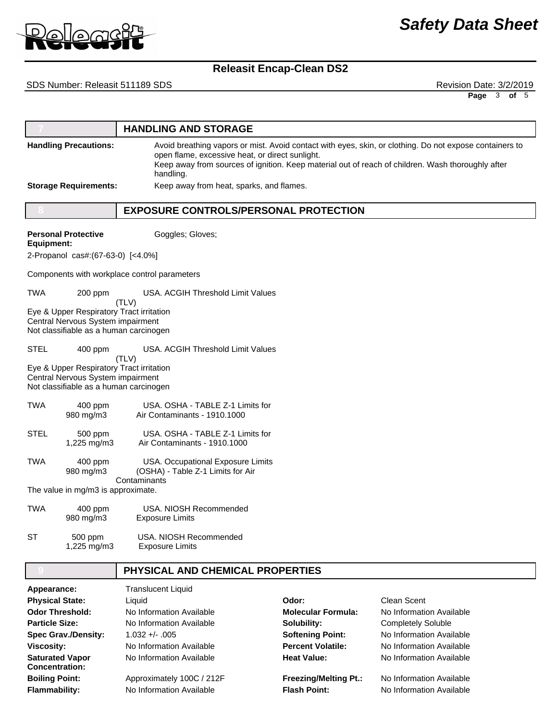

# *Safety Data Sheet*

# **Releasit Encap-Clean DS2**

### SDS Number: Releasit 511189 SDS **Revision Date: 3/2/2019** Revision Date: 3/2/2019

**Page** 3 **of** 5

|                                                  |                                                                                                                         | <b>HANDLING AND STORAGE</b>                                            |                           |                                                                                                                                                                                                              |
|--------------------------------------------------|-------------------------------------------------------------------------------------------------------------------------|------------------------------------------------------------------------|---------------------------|--------------------------------------------------------------------------------------------------------------------------------------------------------------------------------------------------------------|
|                                                  | <b>Handling Precautions:</b>                                                                                            | open flame, excessive heat, or direct sunlight.<br>handling.           |                           | Avoid breathing vapors or mist. Avoid contact with eyes, skin, or clothing. Do not expose containers to<br>Keep away from sources of ignition. Keep material out of reach of children. Wash thoroughly after |
|                                                  | <b>Storage Requirements:</b>                                                                                            | Keep away from heat, sparks, and flames.                               |                           |                                                                                                                                                                                                              |
|                                                  |                                                                                                                         | <b>EXPOSURE CONTROLS/PERSONAL PROTECTION</b>                           |                           |                                                                                                                                                                                                              |
| <b>Equipment:</b>                                | <b>Personal Protective</b>                                                                                              | Goggles; Gloves;                                                       |                           |                                                                                                                                                                                                              |
|                                                  | 2-Propanol cas#: (67-63-0) [<4.0%]                                                                                      |                                                                        |                           |                                                                                                                                                                                                              |
|                                                  |                                                                                                                         | Components with workplace control parameters                           |                           |                                                                                                                                                                                                              |
| TWA                                              | 200 ppm                                                                                                                 | USA. ACGIH Threshold Limit Values                                      |                           |                                                                                                                                                                                                              |
|                                                  | Eye & Upper Respiratory Tract irritation<br>Central Nervous System impairment<br>Not classifiable as a human carcinogen | (TLV)                                                                  |                           |                                                                                                                                                                                                              |
| <b>STEL</b>                                      | 400 ppm                                                                                                                 | USA. ACGIH Threshold Limit Values                                      |                           |                                                                                                                                                                                                              |
|                                                  | Eye & Upper Respiratory Tract irritation<br>Central Nervous System impairment<br>Not classifiable as a human carcinogen | (TLV)                                                                  |                           |                                                                                                                                                                                                              |
| <b>TWA</b>                                       | $400$ ppm<br>980 mg/m3                                                                                                  | USA, OSHA - TABLE Z-1 Limits for<br>Air Contaminants - 1910.1000       |                           |                                                                                                                                                                                                              |
| <b>STEL</b>                                      | 500 ppm<br>1,225 mg/m3                                                                                                  | USA. OSHA - TABLE Z-1 Limits for<br>Air Contaminants - 1910.1000       |                           |                                                                                                                                                                                                              |
| TWA                                              | 400 ppm<br>980 mg/m3                                                                                                    | USA. Occupational Exposure Limits<br>(OSHA) - Table Z-1 Limits for Air |                           |                                                                                                                                                                                                              |
|                                                  | The value in mg/m3 is approximate.                                                                                      | Contaminants                                                           |                           |                                                                                                                                                                                                              |
| <b>TWA</b>                                       | 400 ppm<br>980 mg/m3                                                                                                    | USA. NIOSH Recommended<br><b>Exposure Limits</b>                       |                           |                                                                                                                                                                                                              |
| SТ                                               | 500 ppm<br>1,225 mg/m3                                                                                                  | USA, NIOSH Recommended<br><b>Exposure Limits</b>                       |                           |                                                                                                                                                                                                              |
|                                                  |                                                                                                                         | PHYSICAL AND CHEMICAL PROPERTIES                                       |                           |                                                                                                                                                                                                              |
| Appearance:                                      |                                                                                                                         | <b>Translucent Liquid</b><br>Liquid                                    | Odor:                     | <b>Clean Scent</b>                                                                                                                                                                                           |
| <b>Physical State:</b><br><b>Odor Threshold:</b> |                                                                                                                         | No Information Available                                               | <b>Molecular Formula:</b> | No Information Available                                                                                                                                                                                     |
| <b>Particle Size:</b>                            |                                                                                                                         | No Information Available                                               | Solubility:               | <b>Completely Soluble</b>                                                                                                                                                                                    |
| <b>Spec Grav./Density:</b>                       |                                                                                                                         | $1.032 + - .005$                                                       | <b>Softening Point:</b>   | No Information Available                                                                                                                                                                                     |
| <b>Viscosity:</b>                                |                                                                                                                         | No Information Available                                               | <b>Percent Volatile:</b>  | No Information Available                                                                                                                                                                                     |
| <b>Saturated Vapor</b>                           |                                                                                                                         | No Information Available                                               | <b>Heat Value:</b>        | No Information Available                                                                                                                                                                                     |

Approximately 100C / 212F No Information Available **Concentration: Boiling Point: Flammability:**

**Heat Value: Freezing/Melting Pt.: Flash Point:**

No Information Available No Information Available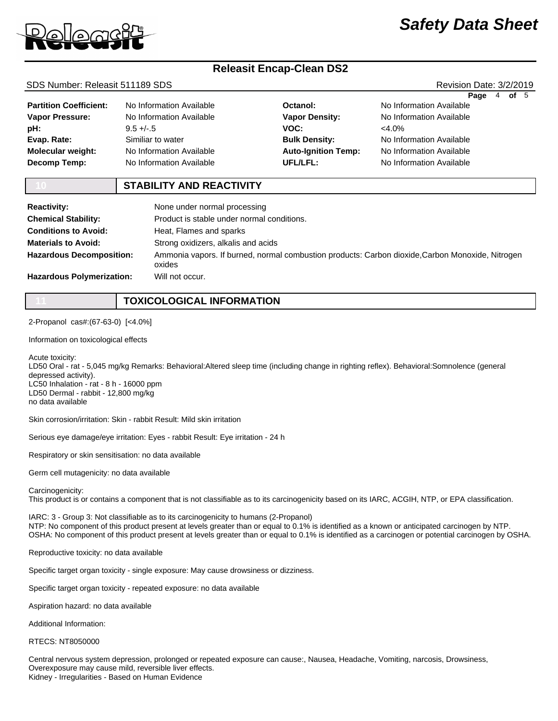

# *Safety Data Sheet*

# **Releasit Encap-Clean DS2**

#### SDS Number: Releasit 511189 SDS **Revision Date: 3/2/2019** Revision Date: 3/2/2019

**Page** 4 **of** 5

| <b>Partition Coefficient:</b> | No Information Available | Octar        |
|-------------------------------|--------------------------|--------------|
| <b>Vapor Pressure:</b>        | No Information Available | Vapo         |
| pH:                           | $9.5 +/-.5$              | VOC:         |
| Evap. Rate:                   | Similiar to water        | <b>Bulk</b>  |
| <b>Molecular weight:</b>      | No Information Available | Auto-        |
| <b>Decomp Temp:</b>           | No Information Available | <b>UFL/I</b> |

nol: **Density: Density: Augnition Temp: UFL/LFL:** <4.0%

No Information Available No Information Available No Information Available No Information Available No Information Available

### **10 STABILITY AND REACTIVITY**

| <b>Reactivity:</b>               | None under normal processing                                                                               |  |
|----------------------------------|------------------------------------------------------------------------------------------------------------|--|
| <b>Chemical Stability:</b>       | Product is stable under normal conditions.                                                                 |  |
| <b>Conditions to Avoid:</b>      | Heat, Flames and sparks                                                                                    |  |
| <b>Materials to Avoid:</b>       | Strong oxidizers, alkalis and acids                                                                        |  |
| <b>Hazardous Decomposition:</b>  | Ammonia vapors. If burned, normal combustion products: Carbon dioxide, Carbon Monoxide, Nitrogen<br>oxides |  |
| <b>Hazardous Polymerization:</b> | Will not occur.                                                                                            |  |

## **11 TOXICOLOGICAL INFORMATION**

2-Propanol cas#:(67-63-0) [<4.0%]

Information on toxicological effects

Acute toxicity:

LD50 Oral - rat - 5,045 mg/kg Remarks: Behavioral:Altered sleep time (including change in righting reflex). Behavioral:Somnolence (general depressed activity). LC50 Inhalation - rat - 8 h - 16000 ppm LD50 Dermal - rabbit - 12,800 mg/kg no data available

Skin corrosion/irritation: Skin - rabbit Result: Mild skin irritation

Serious eye damage/eye irritation: Eyes - rabbit Result: Eye irritation - 24 h

Respiratory or skin sensitisation: no data available

Germ cell mutagenicity: no data available

Carcinogenicity:

This product is or contains a component that is not classifiable as to its carcinogenicity based on its IARC, ACGIH, NTP, or EPA classification.

IARC: 3 - Group 3: Not classifiable as to its carcinogenicity to humans (2-Propanol) NTP: No component of this product present at levels greater than or equal to 0.1% is identified as a known or anticipated carcinogen by NTP. OSHA: No component of this product present at levels greater than or equal to 0.1% is identified as a carcinogen or potential carcinogen by OSHA.

Reproductive toxicity: no data available

Specific target organ toxicity - single exposure: May cause drowsiness or dizziness.

Specific target organ toxicity - repeated exposure: no data available

Aspiration hazard: no data available

Additional Information:

RTECS: NT8050000

Central nervous system depression, prolonged or repeated exposure can cause:, Nausea, Headache, Vomiting, narcosis, Drowsiness, Overexposure may cause mild, reversible liver effects. Kidney - Irregularities - Based on Human Evidence